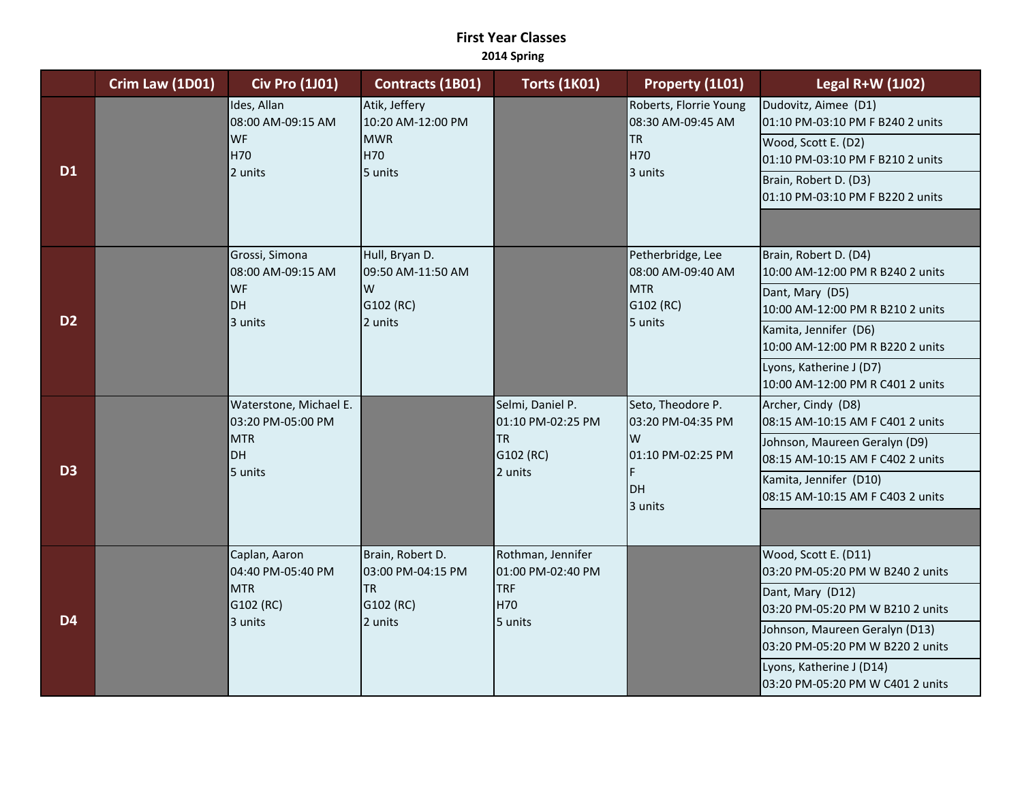## **First Year Classes 2014 Spring**

|                | Crim Law (1D01) | <b>Civ Pro (1J01)</b>                                                      | Contracts (1B01)                                                           | <b>Torts (1K01)</b>                                                        | Property (1L01)                                                                        | <b>Legal R+W (1J02)</b>                                                                                                                                                                                                                                |
|----------------|-----------------|----------------------------------------------------------------------------|----------------------------------------------------------------------------|----------------------------------------------------------------------------|----------------------------------------------------------------------------------------|--------------------------------------------------------------------------------------------------------------------------------------------------------------------------------------------------------------------------------------------------------|
| <b>D1</b>      |                 | Ides, Allan<br>08:00 AM-09:15 AM<br><b>WF</b><br>H70<br>2 units            | Atik, Jeffery<br>10:20 AM-12:00 PM<br><b>MWR</b><br>H70<br>5 units         |                                                                            | Roberts, Florrie Young<br>08:30 AM-09:45 AM<br><b>TR</b><br>H70<br>3 units             | Dudovitz, Aimee (D1)<br>01:10 PM-03:10 PM F B240 2 units<br>Wood, Scott E. (D2)<br>01:10 PM-03:10 PM F B210 2 units<br>Brain, Robert D. (D3)<br>01:10 PM-03:10 PM F B220 2 units                                                                       |
| D <sub>2</sub> |                 | Grossi, Simona<br>08:00 AM-09:15 AM<br><b>WF</b><br>DH<br>3 units          | Hull, Bryan D.<br>09:50 AM-11:50 AM<br>W<br>G102 (RC)<br>2 units           |                                                                            | Petherbridge, Lee<br>08:00 AM-09:40 AM<br><b>MTR</b><br>G102 (RC)<br>5 units           | Brain, Robert D. (D4)<br>10:00 AM-12:00 PM R B240 2 units<br>Dant, Mary (D5)<br>10:00 AM-12:00 PM R B210 2 units<br>Kamita, Jennifer (D6)<br>10:00 AM-12:00 PM R B220 2 units<br>Lyons, Katherine J (D7)<br>10:00 AM-12:00 PM R C401 2 units           |
| D <sub>3</sub> |                 | Waterstone, Michael E.<br>03:20 PM-05:00 PM<br><b>MTR</b><br>DH<br>5 units |                                                                            | Selmi, Daniel P.<br>01:10 PM-02:25 PM<br><b>TR</b><br>G102 (RC)<br>2 units | Seto, Theodore P.<br>03:20 PM-04:35 PM<br>W<br>01:10 PM-02:25 PM<br>F<br>DH<br>3 units | Archer, Cindy (D8)<br>08:15 AM-10:15 AM F C401 2 units<br>Johnson, Maureen Geralyn (D9)<br>08:15 AM-10:15 AM F C402 2 units<br>Kamita, Jennifer (D10)<br>08:15 AM-10:15 AM F C403 2 units                                                              |
| <b>D4</b>      |                 | Caplan, Aaron<br>04:40 PM-05:40 PM<br><b>MTR</b><br>G102 (RC)<br>3 units   | Brain, Robert D.<br>03:00 PM-04:15 PM<br><b>TR</b><br>G102 (RC)<br>2 units | Rothman, Jennifer<br>01:00 PM-02:40 PM<br><b>TRF</b><br>H70<br>5 units     |                                                                                        | Wood, Scott E. (D11)<br>03:20 PM-05:20 PM W B240 2 units<br>Dant, Mary (D12)<br>03:20 PM-05:20 PM W B210 2 units<br>Johnson, Maureen Geralyn (D13)<br>03:20 PM-05:20 PM W B220 2 units<br>Lyons, Katherine J (D14)<br>03:20 PM-05:20 PM W C401 2 units |